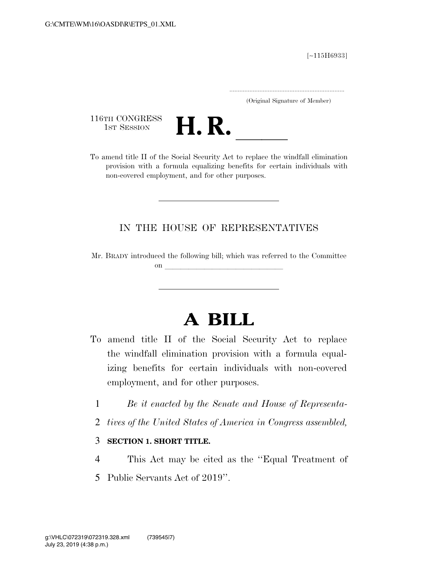[∼115H6933]

.....................................................................

(Original Signature of Member)

116TH CONGRESS<br>1st Session



116TH CONGRESS<br>
1st SESSION<br>
To amend title II of the Social Security Act to replace the windfall elimination provision with a formula equalizing benefits for certain individuals with non-covered employment, and for other purposes.

### IN THE HOUSE OF REPRESENTATIVES

Mr. BRADY introduced the following bill; which was referred to the Committee on **later and little little little** 

# **A BILL**

- To amend title II of the Social Security Act to replace the windfall elimination provision with a formula equalizing benefits for certain individuals with non-covered employment, and for other purposes.
	- 1 *Be it enacted by the Senate and House of Representa-*
	- 2 *tives of the United States of America in Congress assembled,*

#### 3 **SECTION 1. SHORT TITLE.**

4 This Act may be cited as the ''Equal Treatment of 5 Public Servants Act of 2019''.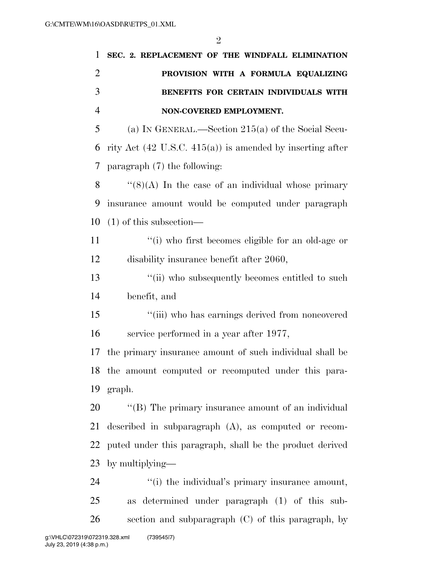| 1              | SEC. 2. REPLACEMENT OF THE WINDFALL ELIMINATION                      |
|----------------|----------------------------------------------------------------------|
| $\overline{2}$ | PROVISION WITH A FORMULA EQUALIZING                                  |
| 3              | BENEFITS FOR CERTAIN INDIVIDUALS WITH                                |
| $\overline{4}$ | NON-COVERED EMPLOYMENT.                                              |
| 5              | (a) IN GENERAL.—Section $215(a)$ of the Social Secu-                 |
| 6              | rity Act $(42 \text{ U.S.C. } 415(a))$ is amended by inserting after |
| 7              | paragraph $(7)$ the following:                                       |
| 8              | $\lq(8)(\mathrm{A})$ In the case of an individual whose primary      |
| 9              | insurance amount would be computed under paragraph                   |
| 10             | $(1)$ of this subsection—                                            |
| 11             | "(i) who first becomes eligible for an old-age or                    |
| 12             | disability insurance benefit after 2060,                             |
| 13             | "(ii) who subsequently becomes entitled to such                      |
| 14             | benefit, and                                                         |
| 15             | "(iii) who has earnings derived from noncovered                      |
| 16             | service performed in a year after 1977,                              |
| 17             | the primary insurance amount of such individual shall be             |
|                | 18 the amount computed or recomputed under this para-                |
| 19             | graph.                                                               |
| 20             | "(B) The primary insurance amount of an individual                   |
| 21             | described in subparagraph $(A)$ , as computed or recom-              |
| 22             | puted under this paragraph, shall be the product derived             |
| 23             | by multiplying—                                                      |
| 24             | "(i) the individual's primary insurance amount,                      |
| 25             | as determined under paragraph (1) of this sub-                       |
| 26             | section and subparagraph (C) of this paragraph, by                   |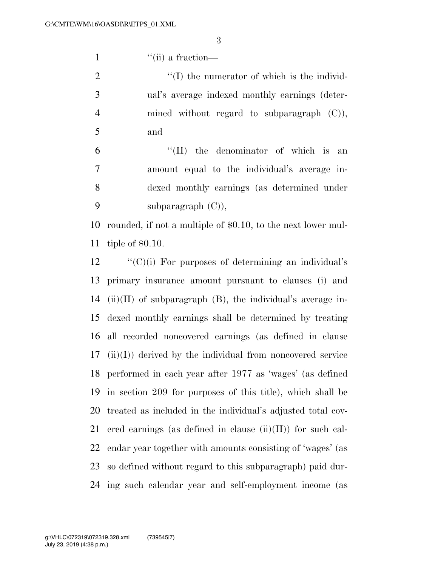1 ''(ii) a fraction—

 ''(I) the numerator of which is the individ- ual's average indexed monthly earnings (deter- mined without regard to subparagraph (C)), and

 ''(II) the denominator of which is an amount equal to the individual's average in- dexed monthly earnings (as determined under subparagraph (C)),

 rounded, if not a multiple of \$0.10, to the next lower mul-tiple of \$0.10.

 ''(C)(i) For purposes of determining an individual's primary insurance amount pursuant to clauses (i) and 14 (ii)(II) of subparagraph  $(B)$ , the individual's average in- dexed monthly earnings shall be determined by treating all recorded noncovered earnings (as defined in clause (ii)(I)) derived by the individual from noncovered service performed in each year after 1977 as 'wages' (as defined in section 209 for purposes of this title), which shall be treated as included in the individual's adjusted total cov-21 ered earnings (as defined in clause  $(ii)(II)$ ) for such cal- endar year together with amounts consisting of 'wages' (as so defined without regard to this subparagraph) paid dur-ing such calendar year and self-employment income (as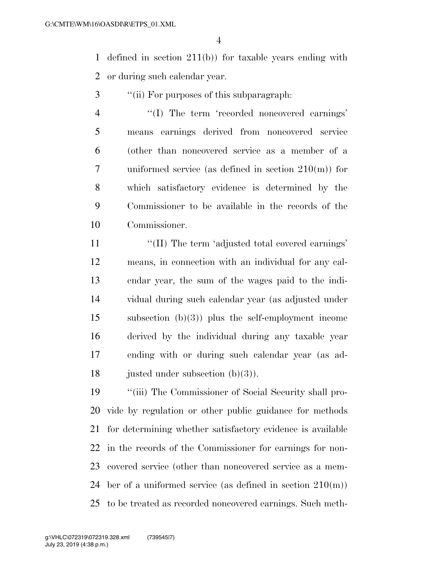defined in section 211(b)) for taxable years ending with or during such calendar year.

- ''(ii) For purposes of this subparagraph:
- 4 "(I) The term 'recorded noncovered earnings' means earnings derived from noncovered service (other than noncovered service as a member of a uniformed service (as defined in section 210(m)) for which satisfactory evidence is determined by the Commissioner to be available in the records of the Commissioner.

11 ''(II) The term 'adjusted total covered earnings' means, in connection with an individual for any cal- endar year, the sum of the wages paid to the indi- vidual during such calendar year (as adjusted under subsection (b)(3)) plus the self-employment income derived by the individual during any taxable year ending with or during such calendar year (as ad-18 justed under subsection  $(b)(3)$ .

 ''(iii) The Commissioner of Social Security shall pro- vide by regulation or other public guidance for methods for determining whether satisfactory evidence is available in the records of the Commissioner for earnings for non- covered service (other than noncovered service as a mem- ber of a uniformed service (as defined in section 210(m)) to be treated as recorded noncovered earnings. Such meth-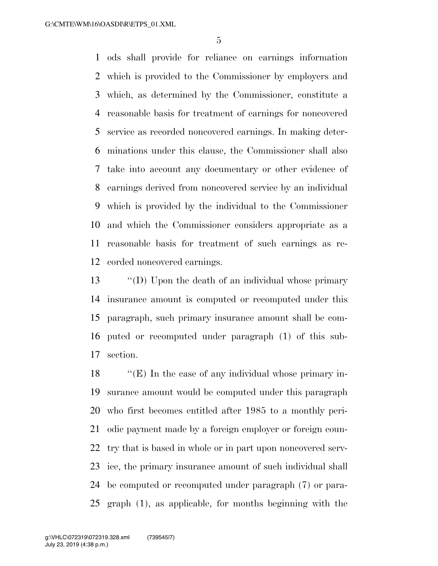ods shall provide for reliance on earnings information which is provided to the Commissioner by employers and which, as determined by the Commissioner, constitute a reasonable basis for treatment of earnings for noncovered service as recorded noncovered earnings. In making deter- minations under this clause, the Commissioner shall also take into account any documentary or other evidence of earnings derived from noncovered service by an individual which is provided by the individual to the Commissioner and which the Commissioner considers appropriate as a reasonable basis for treatment of such earnings as re-corded noncovered earnings.

 ''(D) Upon the death of an individual whose primary insurance amount is computed or recomputed under this paragraph, such primary insurance amount shall be com- puted or recomputed under paragraph (1) of this sub-section.

 ''(E) In the case of any individual whose primary in- surance amount would be computed under this paragraph who first becomes entitled after 1985 to a monthly peri- odic payment made by a foreign employer or foreign coun- try that is based in whole or in part upon noncovered serv- ice, the primary insurance amount of such individual shall be computed or recomputed under paragraph (7) or para-graph (1), as applicable, for months beginning with the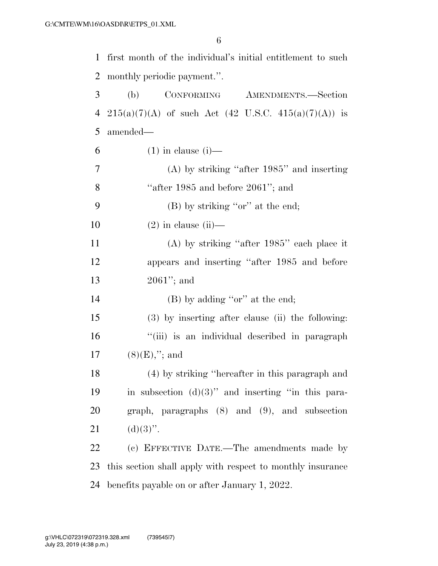| $\mathbf{1}$   | first month of the individual's initial entitlement to such |
|----------------|-------------------------------------------------------------|
| $\overline{2}$ | monthly periodic payment.".                                 |
| 3              | CONFORMING AMENDMENTS.-Section<br>(b)                       |
| 4              | $215(a)(7)(A)$ of such Act (42 U.S.C. 415(a)(7)(A)) is      |
| 5              | amended—                                                    |
| 6              | $(1)$ in clause $(i)$ —                                     |
| 7              | $(A)$ by striking "after 1985" and inserting                |
| 8              | "after $1985$ and before $2061$ "; and                      |
| 9              | $(B)$ by striking "or" at the end;                          |
| 10             | $(2)$ in clause $(ii)$ —                                    |
| 11             | $(A)$ by striking "after 1985" each place it                |
| 12             | appears and inserting "after 1985 and before                |
| 13             | $2061$ "; and                                               |
| 14             | $(B)$ by adding "or" at the end;                            |
| 15             | (3) by inserting after clause (ii) the following:           |
| 16             | "(iii) is an individual described in paragraph              |
| 17             | $(8)(E),''$ ; and                                           |
| 18             | (4) by striking "hereafter in this paragraph and            |
| 19             | in subsection $(d)(3)$ " and inserting "in this para-       |
| 20             | graph, paragraphs $(8)$ and $(9)$ , and subsection          |
| 21             | $(d)(3)$ ".                                                 |
| 22             | (c) EFFECTIVE DATE.—The amendments made by                  |
| 23             | this section shall apply with respect to monthly insurance  |
| 24             | benefits payable on or after January 1, 2022.               |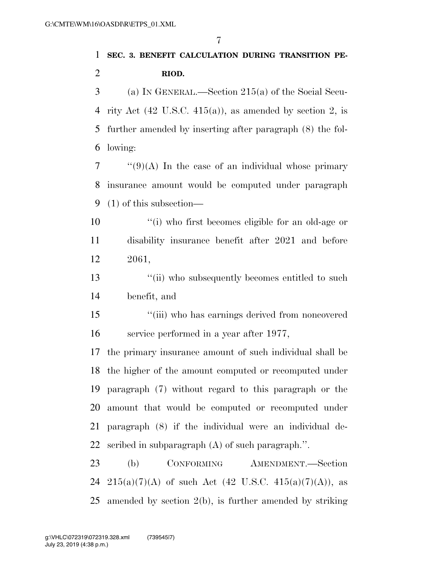## **SEC. 3. BENEFIT CALCULATION DURING TRANSITION PE-RIOD.**

 (a) IN GENERAL.—Section 215(a) of the Social Secu- rity Act (42 U.S.C. 415(a)), as amended by section 2, is further amended by inserting after paragraph (8) the fol-lowing:

 ''(9)(A) In the case of an individual whose primary insurance amount would be computed under paragraph (1) of this subsection—

- 10  $\frac{1}{10}$  is the first becomes eligible for an old-age or disability insurance benefit after 2021 and before 2061,
- 13 ''(ii) who subsequently becomes entitled to such benefit, and
- ''(iii) who has earnings derived from noncovered service performed in a year after 1977,

 the primary insurance amount of such individual shall be the higher of the amount computed or recomputed under paragraph (7) without regard to this paragraph or the amount that would be computed or recomputed under paragraph (8) if the individual were an individual de-scribed in subparagraph (A) of such paragraph.''.

 (b) CONFORMING AMENDMENT.—Section 24 215(a)(7)(A) of such Act (42 U.S.C. 415(a)(7)(A)), as amended by section 2(b), is further amended by striking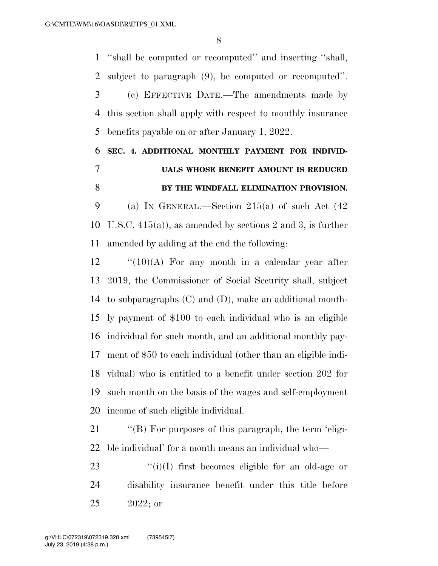''shall be computed or recomputed'' and inserting ''shall, subject to paragraph (9), be computed or recomputed''. (c) EFFECTIVE DATE.—The amendments made by this section shall apply with respect to monthly insurance benefits payable on or after January 1, 2022.

## **SEC. 4. ADDITIONAL MONTHLY PAYMENT FOR INDIVID- UALS WHOSE BENEFIT AMOUNT IS REDUCED BY THE WINDFALL ELIMINATION PROVISION.**

9 (a) IN GENERAL.—Section  $215(a)$  of such Act  $(42)$  U.S.C. 415(a)), as amended by sections 2 and 3, is further amended by adding at the end the following:

 "(10)(A) For any month in a calendar year after 2019, the Commissioner of Social Security shall, subject to subparagraphs (C) and (D), make an additional month- ly payment of \$100 to each individual who is an eligible individual for such month, and an additional monthly pay- ment of \$50 to each individual (other than an eligible indi- vidual) who is entitled to a benefit under section 202 for such month on the basis of the wages and self-employment income of such eligible individual.

21 "'(B) For purposes of this paragraph, the term 'eligi-ble individual' for a month means an individual who—

23  $(i)(I)$  first becomes eligible for an old-age or disability insurance benefit under this title before 2022; or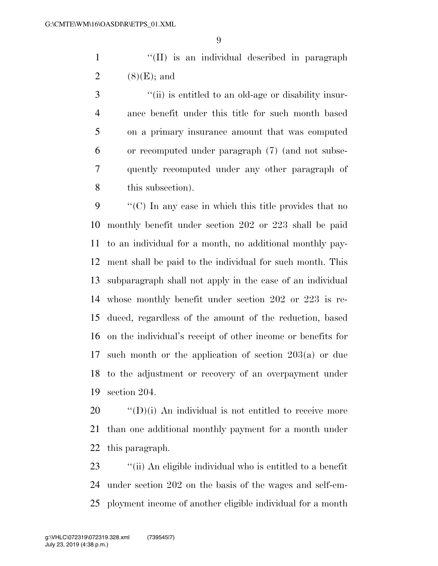1 ''(II) is an individual described in paragraph 2  $(8)(E)$ ; and

 ''(ii) is entitled to an old-age or disability insur- ance benefit under this title for such month based on a primary insurance amount that was computed or recomputed under paragraph (7) (and not subse- quently recomputed under any other paragraph of this subsection).

 ''(C) In any case in which this title provides that no monthly benefit under section 202 or 223 shall be paid to an individual for a month, no additional monthly pay- ment shall be paid to the individual for such month. This subparagraph shall not apply in the case of an individual whose monthly benefit under section 202 or 223 is re- duced, regardless of the amount of the reduction, based on the individual's receipt of other income or benefits for such month or the application of section 203(a) or due to the adjustment or recovery of an overpayment under section 204.

 ''(D)(i) An individual is not entitled to receive more than one additional monthly payment for a month under this paragraph.

 ''(ii) An eligible individual who is entitled to a benefit under section 202 on the basis of the wages and self-em-ployment income of another eligible individual for a month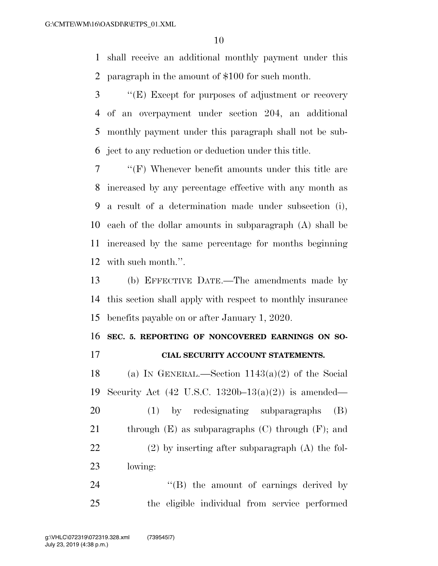shall receive an additional monthly payment under this paragraph in the amount of \$100 for such month.

 ''(E) Except for purposes of adjustment or recovery of an overpayment under section 204, an additional monthly payment under this paragraph shall not be sub-ject to any reduction or deduction under this title.

 ''(F) Whenever benefit amounts under this title are increased by any percentage effective with any month as a result of a determination made under subsection (i), each of the dollar amounts in subparagraph (A) shall be increased by the same percentage for months beginning with such month.''.

 (b) EFFECTIVE DATE.—The amendments made by this section shall apply with respect to monthly insurance benefits payable on or after January 1, 2020.

### **SEC. 5. REPORTING OF NONCOVERED EARNINGS ON SO-**

**CIAL SECURITY ACCOUNT STATEMENTS.** 

18 (a) IN GENERAL.—Section  $1143(a)(2)$  of the Social Security Act (42 U.S.C. 1320b–13(a)(2)) is amended—

 (1) by redesignating subparagraphs (B) 21 through  $(E)$  as subparagraphs  $(C)$  through  $(F)$ ; and (2) by inserting after subparagraph (A) the fol-lowing:

24 "(B) the amount of earnings derived by the eligible individual from service performed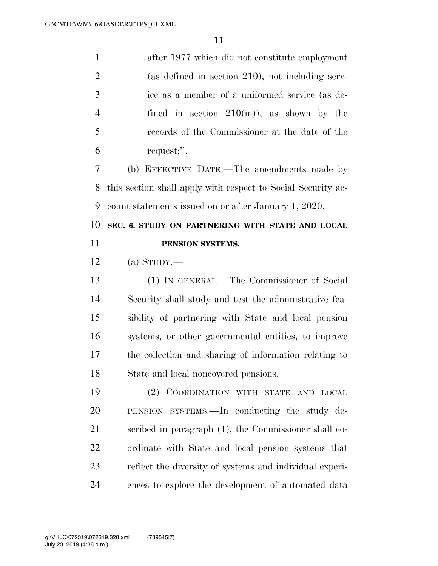| $\mathbf{1}$   | after 1977 which did not constitute employment               |
|----------------|--------------------------------------------------------------|
| $\overline{2}$ | (as defined in section $210$ ), not including serv-          |
| 3              | ice as a member of a uniformed service (as de-               |
| $\overline{4}$ | fined in section $210(m)$ , as shown by the                  |
| 5              | records of the Commissioner at the date of the               |
| 6              | request;".                                                   |
| 7              | (b) EFFECTIVE DATE.—The amendments made by                   |
| 8              | this section shall apply with respect to Social Security ac- |
| 9              | count statements issued on or after January 1, 2020.         |
| 10             | SEC. 6. STUDY ON PARTNERING WITH STATE AND LOCAL             |
| 11             | PENSION SYSTEMS.                                             |
| 12             | (a) $S_{TUDY}$ .                                             |
|                |                                                              |
| 13             | (1) IN GENERAL.—The Commissioner of Social                   |
| 14             | Security shall study and test the administrative fea-        |
| 15             | sibility of partnering with State and local pension          |
| 16             | systems, or other governmental entities, to improve          |
| 17             | the collection and sharing of information relating to        |
| 18             | State and local noncovered pensions.                         |
| 19             | (2) COORDINATION WITH STATE AND LOCAL                        |
| 20             | PENSION SYSTEMS.—In conducting the study de-                 |
| 21             | scribed in paragraph (1), the Commissioner shall co-         |
| 22             | ordinate with State and local pension systems that           |
| 23             | reflect the diversity of systems and individual experi-      |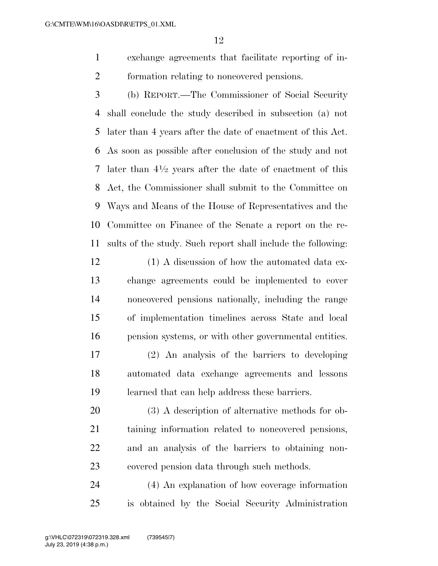exchange agreements that facilitate reporting of in-formation relating to noncovered pensions.

 (b) REPORT.—The Commissioner of Social Security shall conclude the study described in subsection (a) not later than 4 years after the date of enactment of this Act. As soon as possible after conclusion of the study and not 7 later than  $4\frac{1}{2}$  years after the date of enactment of this Act, the Commissioner shall submit to the Committee on Ways and Means of the House of Representatives and the Committee on Finance of the Senate a report on the re-sults of the study. Such report shall include the following:

- 12 (1) A discussion of how the automated data ex- change agreements could be implemented to cover noncovered pensions nationally, including the range of implementation timelines across State and local pension systems, or with other governmental entities.
- (2) An analysis of the barriers to developing automated data exchange agreements and lessons learned that can help address these barriers.

 (3) A description of alternative methods for ob- taining information related to noncovered pensions, and an analysis of the barriers to obtaining non-covered pension data through such methods.

 (4) An explanation of how coverage information is obtained by the Social Security Administration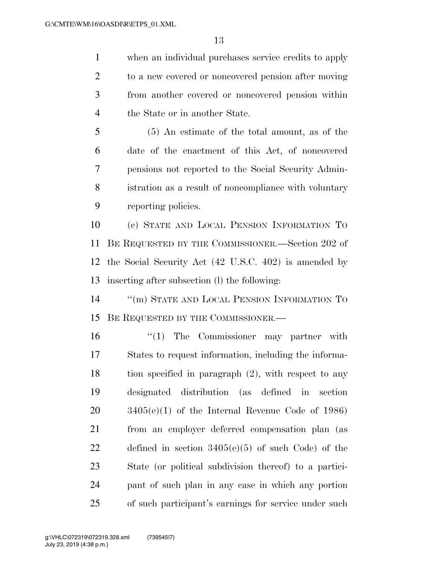when an individual purchases service credits to apply to a new covered or noncovered pension after moving from another covered or noncovered pension within the State or in another State.

 (5) An estimate of the total amount, as of the date of the enactment of this Act, of noncovered pensions not reported to the Social Security Admin- istration as a result of noncompliance with voluntary reporting policies.

 (c) STATE AND LOCAL PENSION INFORMATION TO BE REQUESTED BY THE COMMISSIONER.—Section 202 of the Social Security Act (42 U.S.C. 402) is amended by inserting after subsection (l) the following:

14 "(m) STATE AND LOCAL PENSION INFORMATION TO BE REQUESTED BY THE COMMISSIONER.—

 $\frac{1}{10}$  The Commissioner may partner with States to request information, including the informa- tion specified in paragraph (2), with respect to any designated distribution (as defined in section 3405(e)(1) of the Internal Revenue Code of 1986) from an employer deferred compensation plan (as defined in section 3405(e)(5) of such Code) of the State (or political subdivision thereof) to a partici- pant of such plan in any case in which any portion of such participant's earnings for service under such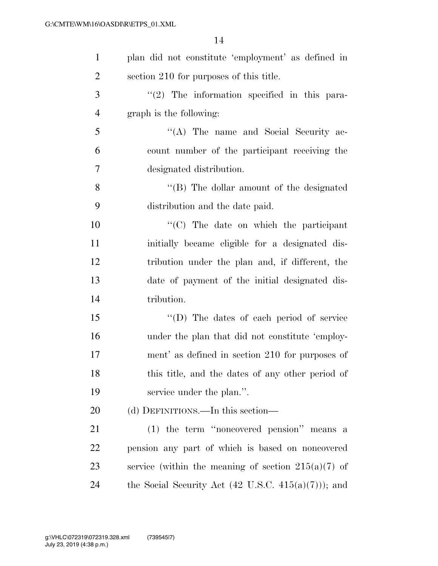| $\mathbf{1}$   | plan did not constitute 'employment' as defined in             |
|----------------|----------------------------------------------------------------|
| $\overline{2}$ | section 210 for purposes of this title.                        |
| 3              | $\lq(2)$ The information specified in this para-               |
| $\overline{4}$ | graph is the following:                                        |
| 5              | "(A) The name and Social Security ac-                          |
| 6              | count number of the participant receiving the                  |
| $\overline{7}$ | designated distribution.                                       |
| 8              | $\lq\lq (B)$ The dollar amount of the designated               |
| 9              | distribution and the date paid.                                |
| 10             | "(C) The date on which the participant                         |
| 11             | initially became eligible for a designated dis-                |
| 12             | tribution under the plan and, if different, the                |
| 13             | date of payment of the initial designated dis-                 |
| 14             | tribution.                                                     |
| 15             | "(D) The dates of each period of service                       |
| 16             | under the plan that did not constitute 'employ-                |
| 17             | ment' as defined in section 210 for purposes of                |
| 18             | this title, and the dates of any other period of               |
| 19             | service under the plan.".                                      |
| 20             | (d) DEFINITIONS.—In this section—                              |
| 21             | (1) the term "noncovered pension" means a                      |
| 22             | pension any part of which is based on noncovered               |
| 23             | service (within the meaning of section $215(a)(7)$ of          |
| 24             | the Social Security Act $(42 \text{ U.S.C. } 415(a)(7))$ ; and |